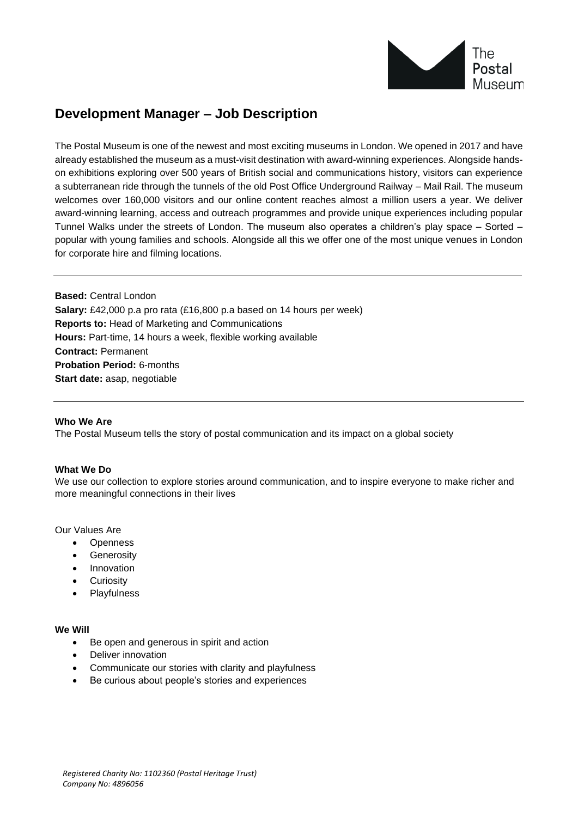

# **Development Manager – Job Description**

The Postal Museum is one of the newest and most exciting museums in London. We opened in 2017 and have already established the museum as a must-visit destination with award-winning experiences. Alongside handson exhibitions exploring over 500 years of British social and communications history, visitors can experience a subterranean ride through the tunnels of the old Post Office Underground Railway – Mail Rail. The museum welcomes over 160,000 visitors and our online content reaches almost a million users a year. We deliver award-winning learning, access and outreach programmes and provide unique experiences including popular Tunnel Walks under the streets of London. The museum also operates a children's play space – Sorted – popular with young families and schools. Alongside all this we offer one of the most unique venues in London for corporate hire and filming locations.

**Based:** Central London **Salary:** £42,000 p.a pro rata (£16,800 p.a based on 14 hours per week) **Reports to:** Head of Marketing and Communications **Hours:** Part-time, 14 hours a week, flexible working available **Contract:** Permanent **Probation Period:** 6-months **Start date:** asap, negotiable

#### **Who We Are**

The Postal Museum tells the story of postal communication and its impact on a global society

#### **What We Do**

We use our collection to explore stories around communication, and to inspire everyone to make richer and more meaningful connections in their lives

Our Values Are

- Openness
- **Generosity**
- Innovation
- **Curiosity**
- **Playfulness**

#### **We Will**

- Be open and generous in spirit and action
- Deliver innovation
- Communicate our stories with clarity and playfulness
- Be curious about people's stories and experiences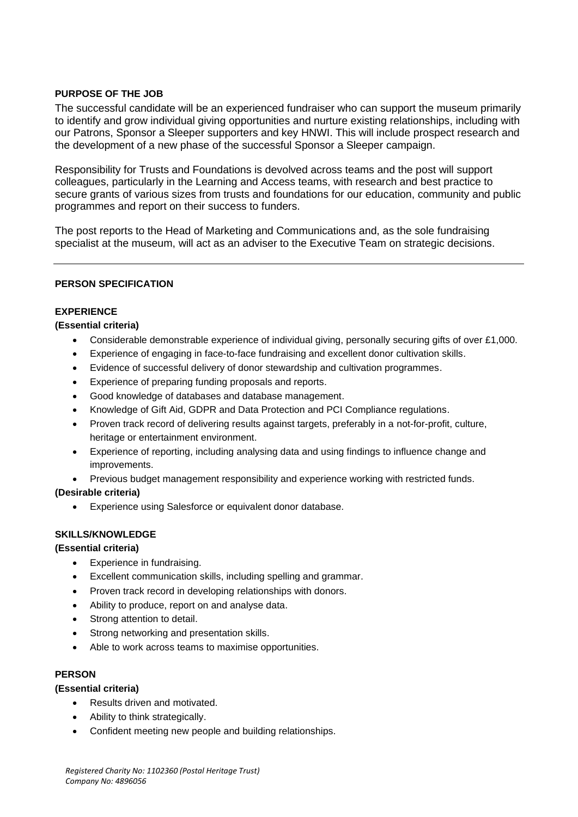# **PURPOSE OF THE JOB**

The successful candidate will be an experienced fundraiser who can support the museum primarily to identify and grow individual giving opportunities and nurture existing relationships, including with our Patrons, Sponsor a Sleeper supporters and key HNWI. This will include prospect research and the development of a new phase of the successful Sponsor a Sleeper campaign.

Responsibility for Trusts and Foundations is devolved across teams and the post will support colleagues, particularly in the Learning and Access teams, with research and best practice to secure grants of various sizes from trusts and foundations for our education, community and public programmes and report on their success to funders.

The post reports to the Head of Marketing and Communications and, as the sole fundraising specialist at the museum, will act as an adviser to the Executive Team on strategic decisions.

#### **PERSON SPECIFICATION**

# **EXPERIENCE**

# **(Essential criteria)**

- Considerable demonstrable experience of individual giving, personally securing gifts of over £1,000.
- Experience of engaging in face-to-face fundraising and excellent donor cultivation skills.
- Evidence of successful delivery of donor stewardship and cultivation programmes.
- Experience of preparing funding proposals and reports.
- Good knowledge of databases and database management.
- Knowledge of Gift Aid, GDPR and Data Protection and PCI Compliance regulations.
- Proven track record of delivering results against targets, preferably in a not-for-profit, culture, heritage or entertainment environment.
- Experience of reporting, including analysing data and using findings to influence change and improvements.
- Previous budget management responsibility and experience working with restricted funds.

#### **(Desirable criteria)**

• Experience using Salesforce or equivalent donor database.

#### **SKILLS/KNOWLEDGE**

#### **(Essential criteria)**

- Experience in fundraising.
- Excellent communication skills, including spelling and grammar.
- Proven track record in developing relationships with donors.
- Ability to produce, report on and analyse data.
- Strong attention to detail.
- Strong networking and presentation skills.
- Able to work across teams to maximise opportunities.

#### **PERSON**

#### **(Essential criteria)**

- Results driven and motivated.
- Ability to think strategically.
- Confident meeting new people and building relationships.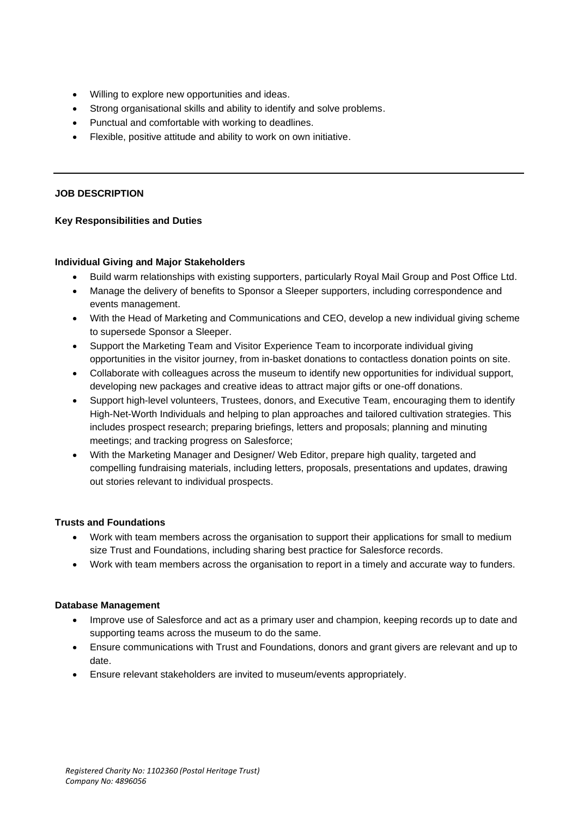- Willing to explore new opportunities and ideas.
- Strong organisational skills and ability to identify and solve problems.
- Punctual and comfortable with working to deadlines.
- Flexible, positive attitude and ability to work on own initiative.

#### **JOB DESCRIPTION**

#### **Key Responsibilities and Duties**

#### **Individual Giving and Major Stakeholders**

- Build warm relationships with existing supporters, particularly Royal Mail Group and Post Office Ltd.
- Manage the delivery of benefits to Sponsor a Sleeper supporters, including correspondence and events management.
- With the Head of Marketing and Communications and CEO, develop a new individual giving scheme to supersede Sponsor a Sleeper.
- Support the Marketing Team and Visitor Experience Team to incorporate individual giving opportunities in the visitor journey, from in-basket donations to contactless donation points on site.
- Collaborate with colleagues across the museum to identify new opportunities for individual support, developing new packages and creative ideas to attract major gifts or one-off donations.
- Support high-level volunteers, Trustees, donors, and Executive Team, encouraging them to identify High-Net-Worth Individuals and helping to plan approaches and tailored cultivation strategies. This includes prospect research; preparing briefings, letters and proposals; planning and minuting meetings; and tracking progress on Salesforce;
- With the Marketing Manager and Designer/ Web Editor, prepare high quality, targeted and compelling fundraising materials, including letters, proposals, presentations and updates, drawing out stories relevant to individual prospects.

#### **Trusts and Foundations**

- Work with team members across the organisation to support their applications for small to medium size Trust and Foundations, including sharing best practice for Salesforce records.
- Work with team members across the organisation to report in a timely and accurate way to funders.

#### **Database Management**

- Improve use of Salesforce and act as a primary user and champion, keeping records up to date and supporting teams across the museum to do the same.
- Ensure communications with Trust and Foundations, donors and grant givers are relevant and up to date.
- Ensure relevant stakeholders are invited to museum/events appropriately.